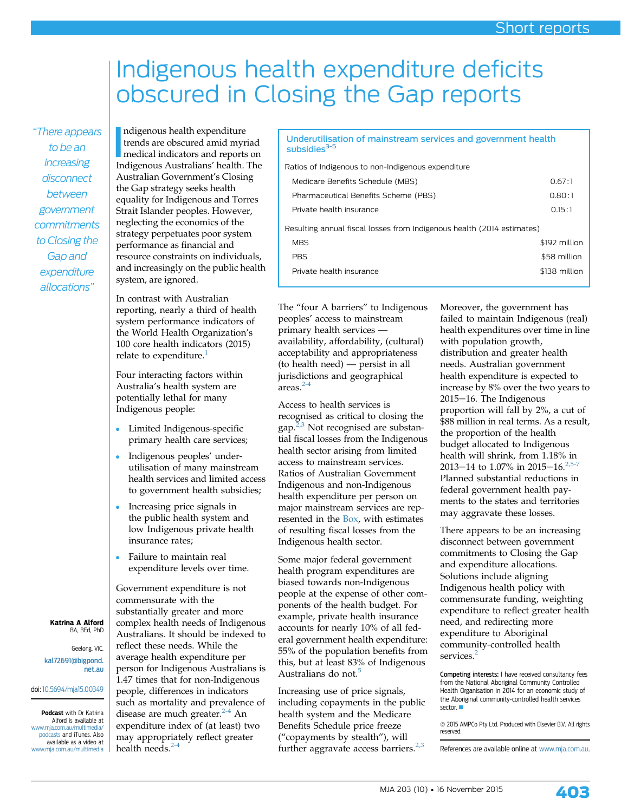## Indigenous health expenditure deficits obscured in Closing the Gap reports

"There appears to be an increasing disconnect between government commitments to Closing the Gap and expenditure allocations"

ndigenous health expenditure<br>trends are obscured amid myriad<br>medical indicators and reports on<br>hdigenous Australians' health. The ndigenous health expenditure trends are obscured amid myriad Indigenous Australians' health. The Australian Government's Closing the Gap strategy seeks health equality for Indigenous and Torres Strait Islander peoples. However, neglecting the economics of the strategy perpetuates poor system performance as financial and resource constraints on individuals, and increasingly on the public health system, are ignored.

In contrast with Australian reporting, nearly a third of health system performance indicators of the World Health Organization's 100 core health indicators (2015) relate to expenditure.<sup>[1](#page-1-0)</sup>

Four interacting factors within Australia's health system are potentially lethal for many Indigenous people:

- Limited Indigenous-specifi<sup>c</sup> primary health care services;
- Indigenous peoples' underutilisation of many mainstream health services and limited access to government health subsidies;
- Increasing price signals in the public health system and low Indigenous private health insurance rates;
- Failure to maintain real expenditure levels over time.

Government expenditure is not commensurate with the substantially greater and more complex health needs of Indigenous Australians. It should be indexed to reflect these needs. While the average health expenditure per person for Indigenous Australians is 1.47 times that for non-Indigenous people, differences in indicators such as mortality and prevalence of disease are much greater.<sup>[2-4](#page-1-0)</sup> An expenditure index of (at least) two may appropriately reflect greater health needs. $<sup>2</sup>$ </sup>

## Underutilisation of mainstream services and government health subsidies<sup>3-5</sup>

| Ratios of Indigenous to non-Indigenous expenditure                     |               |
|------------------------------------------------------------------------|---------------|
| Medicare Benefits Schedule (MBS)                                       | 0.67:1        |
| Pharmaceutical Benefits Scheme (PBS)                                   | 0.80:1        |
| Private health insurance                                               | 0.15:1        |
| Resulting annual fiscal losses from Indigenous health (2014 estimates) |               |
| <b>MBS</b>                                                             | \$192 million |
| <b>PRS</b>                                                             | \$58 million  |
| Private health insurance                                               | \$138 million |

The "four A barriers" to Indigenous peoples' access to mainstream primary health services availability, affordability, (cultural) acceptability and appropriateness (to health need) — persist in all jurisdictions and geographical  $area<sup>2-4</sup>$  $area<sup>2-4</sup>$  $area<sup>2-4</sup>$ 

Access to health services is recognised as critical to closing the gap. $2,3$  Not recognised are substantial fiscal losses from the Indigenous health sector arising from limited access to mainstream services. Ratios of Australian Government Indigenous and non-Indigenous health expenditure per person on major mainstream services are represented in the Box, with estimates of resulting fiscal losses from the Indigenous health sector.

Some major federal government health program expenditures are biased towards non-Indigenous people at the expense of other components of the health budget. For example, private health insurance accounts for nearly 10% of all federal government health expenditure: 55% of the population benefits from this, but at least 83% of Indigenous Australians do not.<sup>[5](#page-1-0)</sup>

Increasing use of price signals, including copayments in the public health system and the Medicare Benefits Schedule price freeze ("copayments by stealth"), will further aggravate access barriers. $2,3$ 

Moreover, the government has failed to maintain Indigenous (real) health expenditures over time in line with population growth, distribution and greater health needs. Australian government health expenditure is expected to increase by 8% over the two years to 2015-16. The Indigenous proportion will fall by 2%, a cut of \$88 million in real terms. As a result, the proportion of the health budget allocated to Indigenous health will shrink, from 1.18% in 2013-14 to 1.07% in 2015-16.<sup>2</sup> Planned substantial reductions in federal government health payments to the states and territories may aggravate these losses.

There appears to be an increasing disconnect between government commitments to Closing the Gap and expenditure allocations. Solutions include aligning Indigenous health policy with commensurate funding, weighting expenditure to reflect greater health need, and redirecting more expenditure to Aboriginal community-controlled health services.<sup>[2](#page-1-0)</sup>

Competing interests: I have received consultancy fees from the National Aboriginal Community Controlled Health Organisation in 2014 for an economic study of the Aboriginal community-controlled health services  $sector.$ 

 $@$  2015 AMPCo Pty Ltd. Produced with Elsevier B.V. All rights reserved.

References are available online at [www.mja.com.au](http://www.mja.com.au).

Geelong, VIC. [kal72691@bigpond.](mailto:kal72691@bigpond.net.au) [net.au](mailto:kal72691@bigpond.net.au)

doi: [10.5694/mja15.00349](http://dx.doi.org/10.5694/mja15.00349)

Podcast with Dr Katrina Alford is available at [www.mja.com.au/multimedia/](http://www.mja.com.au/multimedia/podcasts) [podcasts](http://www.mja.com.au/multimedia/podcasts) and iTunes. Also available as a video at [www.mja.com.au/multimedia](http://www.mja.com.au/multimedia)